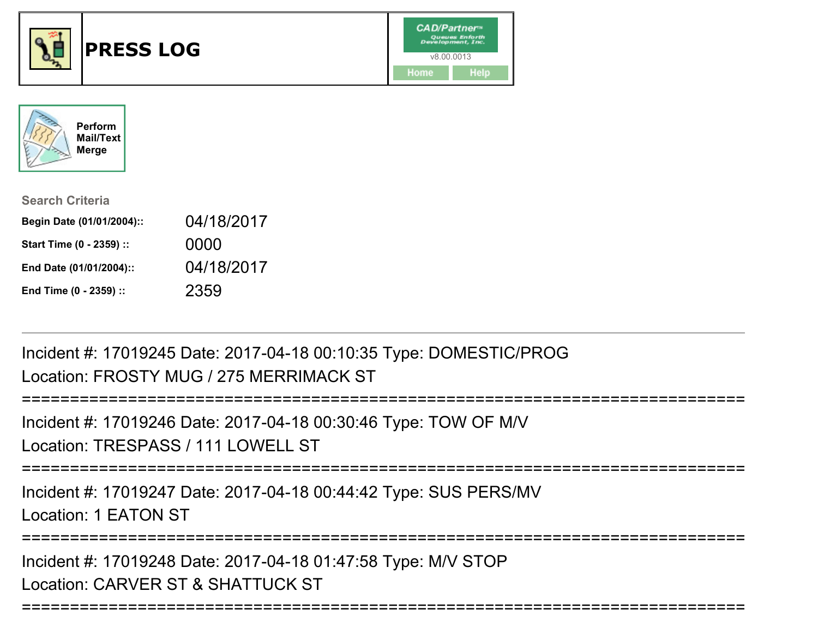



| <b>Search Criteria</b>    |            |
|---------------------------|------------|
| Begin Date (01/01/2004):: | 04/18/2017 |
| Start Time (0 - 2359) ::  | 0000       |
| End Date (01/01/2004)::   | 04/18/2017 |
| End Time (0 - 2359) ::    | 2359       |

Incident #: 17019245 Date: 2017-04-18 00:10:35 Type: DOMESTIC/PROGLocation: FROSTY MUG / 275 MERRIMACK ST

```
===========================================================================
```
Incident #: 17019246 Date: 2017-04-18 00:30:46 Type: TOW OF M/VLocation: TRESPASS / 111 LOWELL ST

```
===========================================================================
```
Incident #: 17019247 Date: 2017-04-18 00:44:42 Type: SUS PERS/MV

Location: 1 EATON ST

```
===========================================================================
```
===========================================================================

Incident #: 17019248 Date: 2017-04-18 01:47:58 Type: M/V STOPLocation: CARVER ST & SHATTUCK ST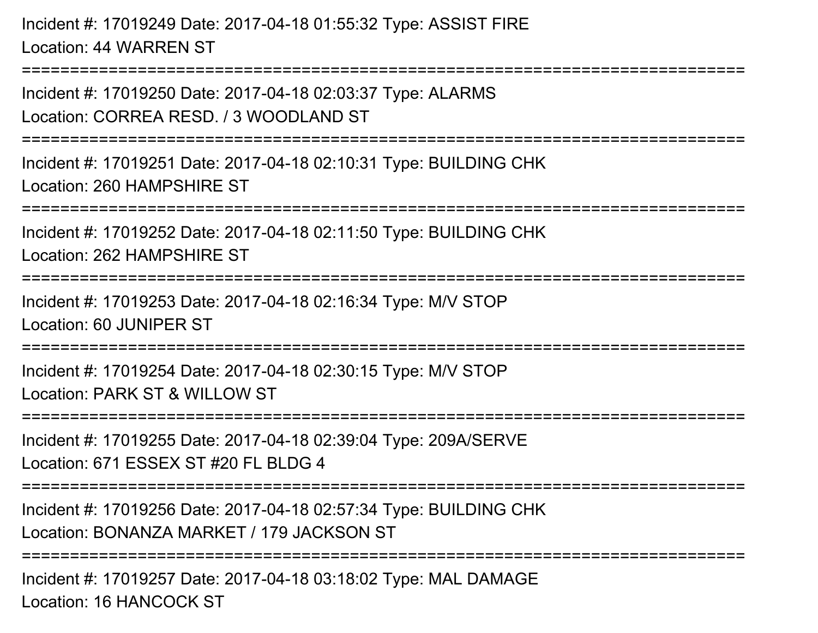Incident #: 17019249 Date: 2017-04-18 01:55:32 Type: ASSIST FIRELocation: 44 WARREN ST

===========================================================================Incident #: 17019250 Date: 2017-04-18 02:03:37 Type: ALARMSLocation: CORREA RESD. / 3 WOODLAND ST===========================================================================Incident #: 17019251 Date: 2017-04-18 02:10:31 Type: BUILDING CHKLocation: 260 HAMPSHIRE ST===========================================================================Incident #: 17019252 Date: 2017-04-18 02:11:50 Type: BUILDING CHKLocation: 262 HAMPSHIRE ST===========================================================================Incident #: 17019253 Date: 2017-04-18 02:16:34 Type: M/V STOPLocation: 60 JUNIPER ST===========================================================================Incident #: 17019254 Date: 2017-04-18 02:30:15 Type: M/V STOPLocation: PARK ST & WILLOW ST===========================================================================Incident #: 17019255 Date: 2017-04-18 02:39:04 Type: 209A/SERVELocation: 671 ESSEX ST #20 FL BLDG 4 ===========================================================================Incident #: 17019256 Date: 2017-04-18 02:57:34 Type: BUILDING CHKLocation: BONANZA MARKET / 179 JACKSON ST

**=================** 

Incident #: 17019257 Date: 2017-04-18 03:18:02 Type: MAL DAMAGELocation: 16 HANCOCK ST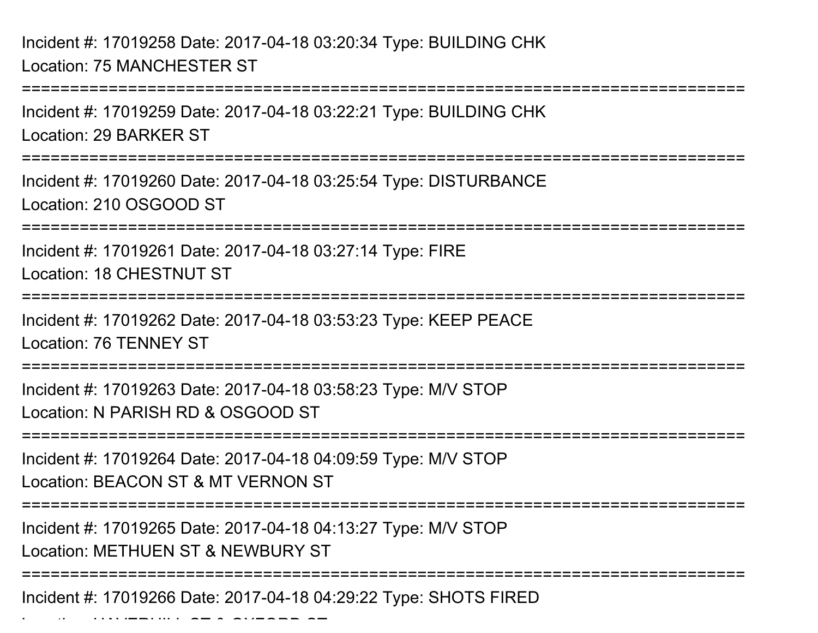Incident #: 17019258 Date: 2017-04-18 03:20:34 Type: BUILDING CHKLocation: 75 MANCHESTER ST

Location: HAVERHILL ST & OXFORD ST

===========================================================================Incident #: 17019259 Date: 2017-04-18 03:22:21 Type: BUILDING CHKLocation: 29 BARKER ST===========================================================================Incident #: 17019260 Date: 2017-04-18 03:25:54 Type: DISTURBANCELocation: 210 OSGOOD ST============================== Incident #: 17019261 Date: 2017-04-18 03:27:14 Type: FIRELocation: 18 CHESTNUT ST===========================================================================Incident #: 17019262 Date: 2017-04-18 03:53:23 Type: KEEP PEACELocation: 76 TENNEY ST===========================================================================Incident #: 17019263 Date: 2017-04-18 03:58:23 Type: M/V STOPLocation: N PARISH RD & OSGOOD ST===========================================================================Incident #: 17019264 Date: 2017-04-18 04:09:59 Type: M/V STOPLocation: BEACON ST & MT VERNON ST===========================================================================Incident #: 17019265 Date: 2017-04-18 04:13:27 Type: M/V STOPLocation: METHUEN ST & NEWBURY ST===========================================================================Incident #: 17019266 Date: 2017-04-18 04:29:22 Type: SHOTS FIRED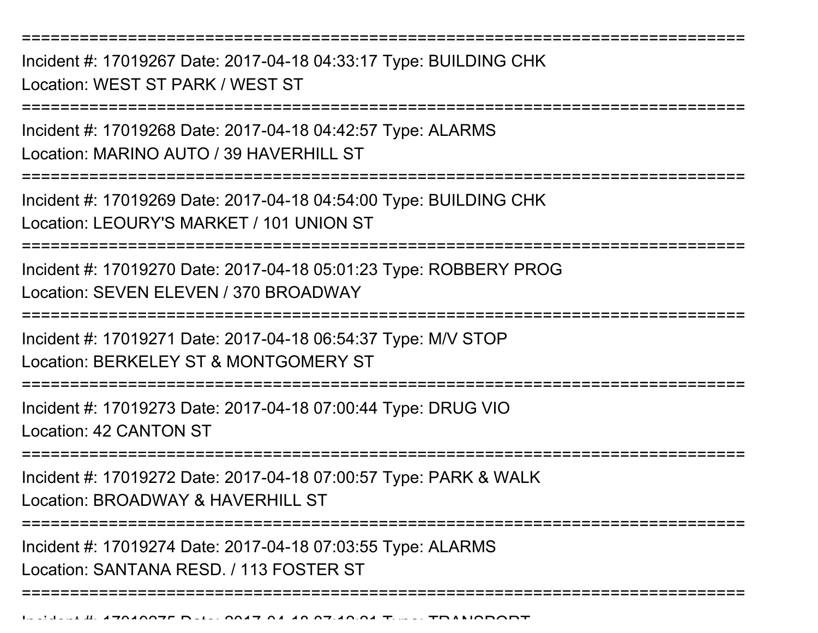Incident #: 17019267 Date: 2017-04-18 04:33:17 Type: BUILDING CHKLocation: WEST ST PARK / WEST ST

===========================================================================

Incident #: 17019268 Date: 2017-04-18 04:42:57 Type: ALARMSLocation: MARINO AUTO / 39 HAVERHILL ST

===========================================================================

Incident #: 17019269 Date: 2017-04-18 04:54:00 Type: BUILDING CHKLocation: LEOURY'S MARKET / 101 UNION ST

**========================** 

Incident #: 17019270 Date: 2017-04-18 05:01:23 Type: ROBBERY PROGLocation: SEVEN ELEVEN / 370 BROADWAY

===========================================================================

Incident #: 17019271 Date: 2017-04-18 06:54:37 Type: M/V STOP

Location: BERKELEY ST & MONTGOMERY ST

===========================================================================

Incident #: 17019273 Date: 2017-04-18 07:00:44 Type: DRUG VIOLocation: 42 CANTON ST

===========================================================================

Incident #: 17019272 Date: 2017-04-18 07:00:57 Type: PARK & WALKLocation: BROADWAY & HAVERHILL ST

===========================================================================

===========================================================================

Incident #: 17019274 Date: 2017-04-18 07:03:55 Type: ALARMS

Location: SANTANA RESD. / 113 FOSTER ST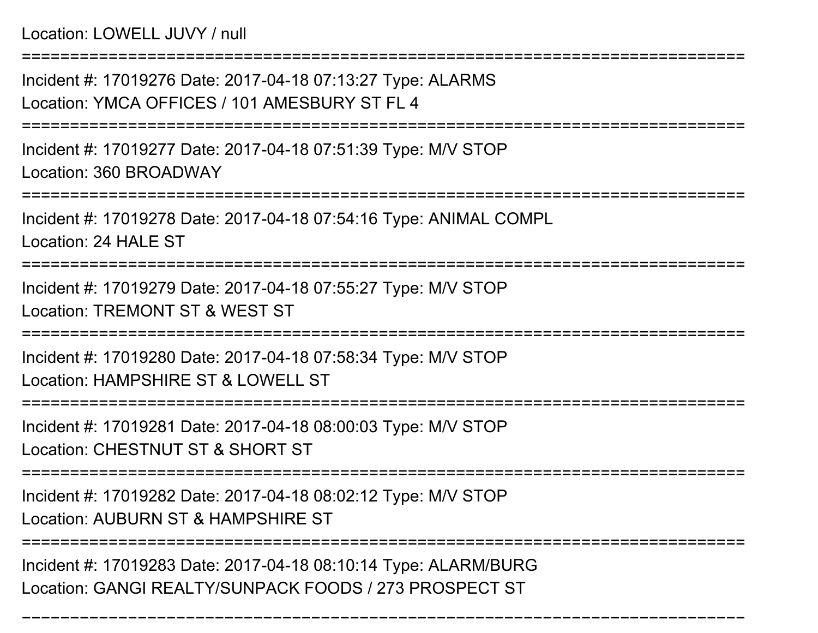Location: LOWELL JUVY / null

===========================================================================Incident #: 17019276 Date: 2017-04-18 07:13:27 Type: ALARMSLocation: YMCA OFFICES / 101 AMESBURY ST FL 4===========================================================================Incident #: 17019277 Date: 2017-04-18 07:51:39 Type: M/V STOPLocation: 360 BROADWAY===========================================================================Incident #: 17019278 Date: 2017-04-18 07:54:16 Type: ANIMAL COMPLLocation: 24 HALE ST===========================================================================Incident #: 17019279 Date: 2017-04-18 07:55:27 Type: M/V STOPLocation: TREMONT ST & WEST ST===========================================================================Incident #: 17019280 Date: 2017-04-18 07:58:34 Type: M/V STOPLocation: HAMPSHIRE ST & LOWELL ST===========================================================================Incident #: 17019281 Date: 2017-04-18 08:00:03 Type: M/V STOPLocation: CHESTNUT ST & SHORT ST===========================================================================Incident #: 17019282 Date: 2017-04-18 08:02:12 Type: M/V STOPLocation: AUBURN ST & HAMPSHIRE ST===========================================================================Incident #: 17019283 Date: 2017-04-18 08:10:14 Type: ALARM/BURGLocation: GANGI REALTY/SUNPACK FOODS / 273 PROSPECT ST

===========================================================================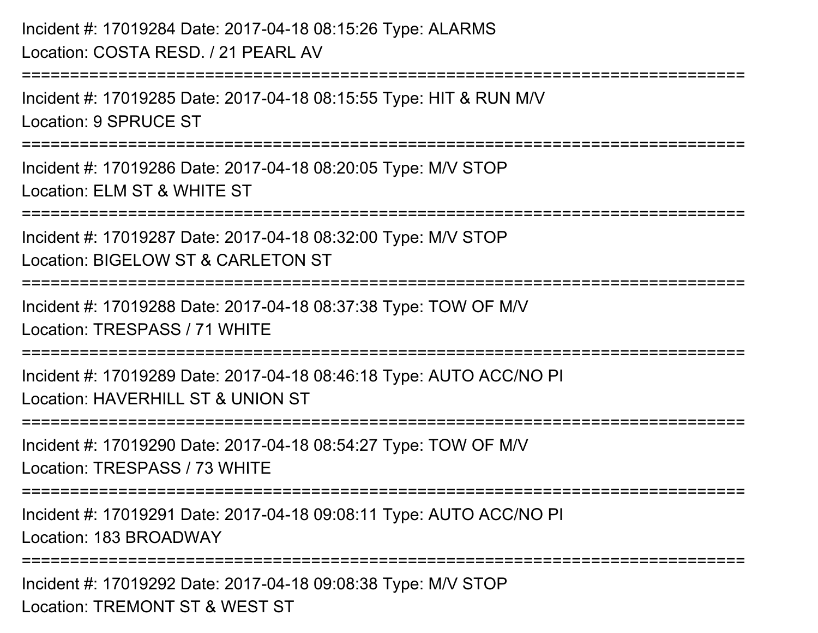```
Incident #: 17019284 Date: 2017-04-18 08:15:26 Type: ALARMSLocation: COSTA RESD. / 21 PEARL AV===========================================================================Incident #: 17019285 Date: 2017-04-18 08:15:55 Type: HIT & RUN M/VLocation: 9 SPRUCE ST===========================================================================Incident #: 17019286 Date: 2017-04-18 08:20:05 Type: M/V STOPLocation: ELM ST & WHITE ST===========================================================================Incident #: 17019287 Date: 2017-04-18 08:32:00 Type: M/V STOPLocation: BIGELOW ST & CARLETON ST
   ===========================================================================Incident #: 17019288 Date: 2017-04-18 08:37:38 Type: TOW OF M/VLocation: TRESPASS / 71 WHITE===========================================================================Incident #: 17019289 Date: 2017-04-18 08:46:18 Type: AUTO ACC/NO PILocation: HAVERHILL ST & UNION ST
===========================================================================Incident #: 17019290 Date: 2017-04-18 08:54:27 Type: TOW OF M/VLocation: TRESPASS / 73 WHITE===========================================================================Incident #: 17019291 Date: 2017-04-18 09:08:11 Type: AUTO ACC/NO PILocation: 183 BROADWAY====================
Incident #: 17019292 Date: 2017-04-18 09:08:38 Type: M/V STOPLocation: TREMONT ST & WEST ST
```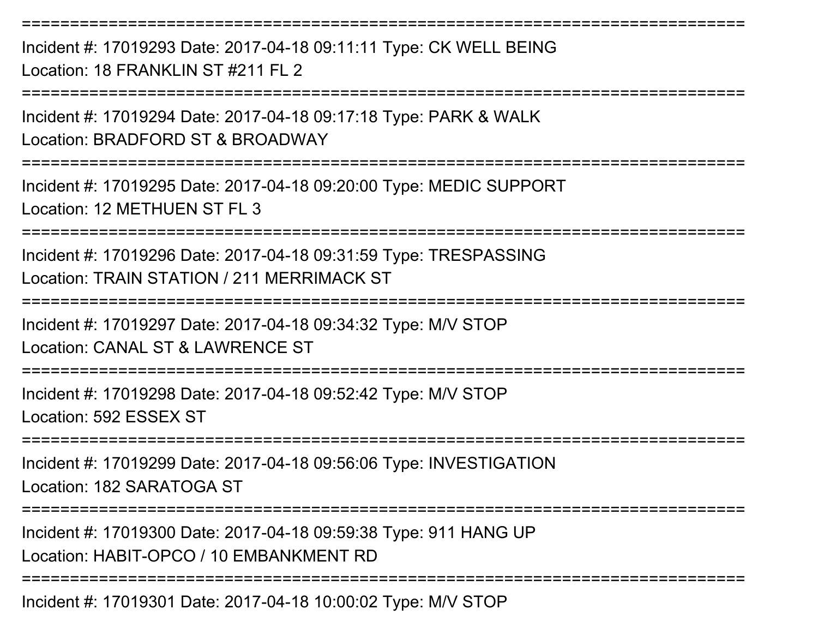Incident #: 17019293 Date: 2017-04-18 09:11:11 Type: CK WELL BEINGLocation: 18 FRANKLIN ST #211 FL 2

===========================================================================

===========================================================================

Incident #: 17019294 Date: 2017-04-18 09:17:18 Type: PARK & WALKLocation: BRADFORD ST & BROADWAY

===========================================================================

Incident #: 17019295 Date: 2017-04-18 09:20:00 Type: MEDIC SUPPORTLocation: 12 METHUEN ST FL 3

===========================================================================

Incident #: 17019296 Date: 2017-04-18 09:31:59 Type: TRESPASSINGLocation: TRAIN STATION / 211 MERRIMACK ST

===========================================================================

Incident #: 17019297 Date: 2017-04-18 09:34:32 Type: M/V STOP

Location: CANAL ST & LAWRENCE ST

===========================================================================

Incident #: 17019298 Date: 2017-04-18 09:52:42 Type: M/V STOPLocation: 592 ESSEX ST

===========================================================================

Incident #: 17019299 Date: 2017-04-18 09:56:06 Type: INVESTIGATIONLocation: 182 SARATOGA ST

===========================================================================

Incident #: 17019300 Date: 2017-04-18 09:59:38 Type: 911 HANG UPLocation: HABIT-OPCO / 10 EMBANKMENT RD

===========================================================================

Incident #: 17019301 Date: 2017-04-18 10:00:02 Type: M/V STOP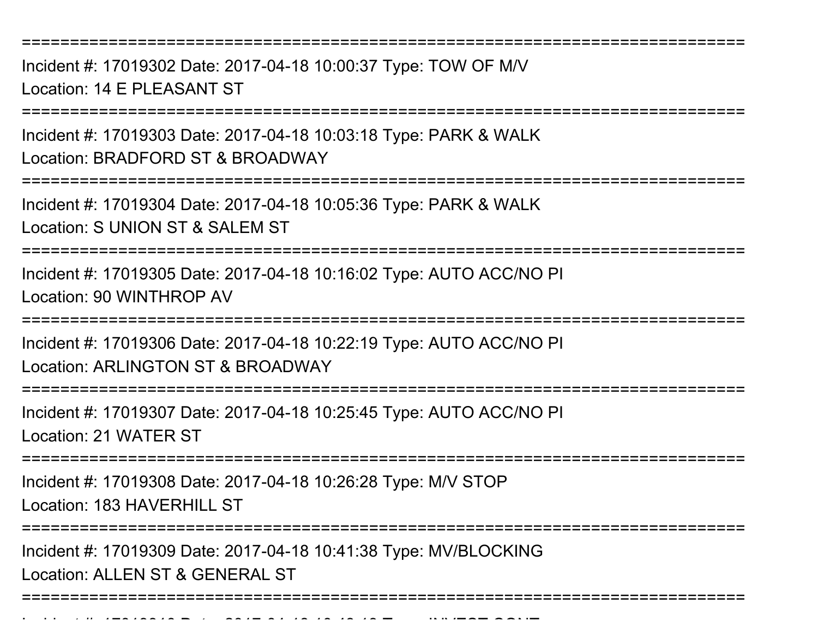Incident #: 17019302 Date: 2017-04-18 10:00:37 Type: TOW OF M/VLocation: 14 E PLEASANT ST

===========================================================================

Incident #: 17019303 Date: 2017-04-18 10:03:18 Type: PARK & WALKLocation: BRADFORD ST & BROADWAY

===========================================================================

Incident #: 17019304 Date: 2017-04-18 10:05:36 Type: PARK & WALKLocation: S UNION ST & SALEM ST

===========================================================================

Incident #: 17019305 Date: 2017-04-18 10:16:02 Type: AUTO ACC/NO PILocation: 90 WINTHROP AV

===========================================================================

Incident #: 17019306 Date: 2017-04-18 10:22:19 Type: AUTO ACC/NO PILocation: ARLINGTON ST & BROADWAY

===========================================================================

Incident #: 17019307 Date: 2017-04-18 10:25:45 Type: AUTO ACC/NO PILocation: 21 WATER ST

=============================

Incident #: 17019308 Date: 2017-04-18 10:26:28 Type: M/V STOP

Location: 183 HAVERHILL ST

Incident #: 17019310 Date: 2017

**======================** 

Incident #: 17019309 Date: 2017-04-18 10:41:38 Type: MV/BLOCKINGLocation: ALLEN ST & GENERAL ST

===========================================================================

<sup>04</sup> 18 10:43:13 Type: INVEST CONT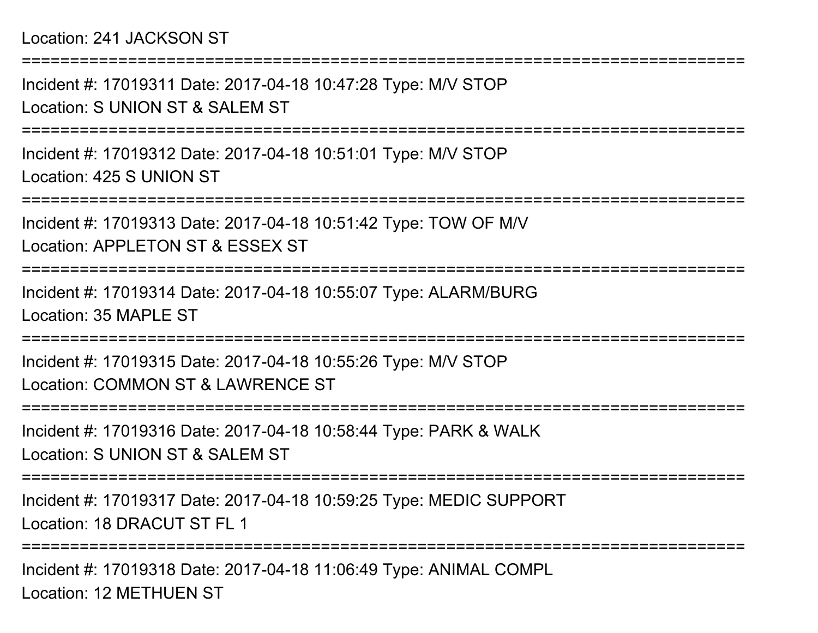## Location: 241 JACKSON ST

Incident #: 17019311 Date: 2017-04-18 10:47:28 Type: M/V STOPLocation: S UNION ST & SALEM ST

===========================================================================

===========================================================================

Incident #: 17019312 Date: 2017-04-18 10:51:01 Type: M/V STOPLocation: 425 S UNION ST

===========================================================================

Incident #: 17019313 Date: 2017-04-18 10:51:42 Type: TOW OF M/V

Location: APPLETON ST & ESSEX ST

===========================================================================

Incident #: 17019314 Date: 2017-04-18 10:55:07 Type: ALARM/BURGLocation: 35 MAPLE ST

===========================================================================

Incident #: 17019315 Date: 2017-04-18 10:55:26 Type: M/V STOPLocation: COMMON ST & LAWRENCE ST

===========================================================================

Incident #: 17019316 Date: 2017-04-18 10:58:44 Type: PARK & WALKLocation: S UNION ST & SALEM ST

===========================================================================

Incident #: 17019317 Date: 2017-04-18 10:59:25 Type: MEDIC SUPPORTLocation: 18 DRACUT ST FL 1

===========================================================================

Incident #: 17019318 Date: 2017-04-18 11:06:49 Type: ANIMAL COMPLLocation: 12 METHUEN ST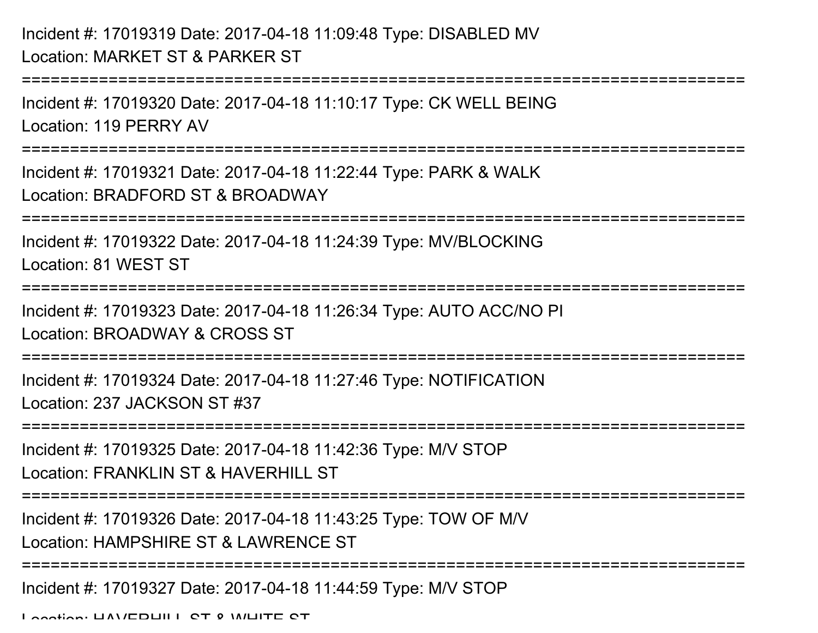## Incident #: 17019319 Date: 2017-04-18 11:09:48 Type: DISABLED MVLocation: MARKET ST & PARKER ST

```
===========================================================================Incident #: 17019320 Date: 2017-04-18 11:10:17 Type: CK WELL BEINGLocation: 119 PERRY AV===========================================================================Incident #: 17019321 Date: 2017-04-18 11:22:44 Type: PARK & WALKLocation: BRADFORD ST & BROADWAY
===========================================================================Incident #: 17019322 Date: 2017-04-18 11:24:39 Type: MV/BLOCKINGLocation: 81 WEST ST===========================================================================Incident #: 17019323 Date: 2017-04-18 11:26:34 Type: AUTO ACC/NO PILocation: BROADWAY & CROSS ST===========================================================================Incident #: 17019324 Date: 2017-04-18 11:27:46 Type: NOTIFICATIONLocation: 237 JACKSON ST #37===========================================================================Incident #: 17019325 Date: 2017-04-18 11:42:36 Type: M/V STOPLocation: FRANKLIN ST & HAVERHILL ST
===========================================================================Incident #: 17019326 Date: 2017-04-18 11:43:25 Type: TOW OF M/VLocation: HAMPSHIRE ST & LAWRENCE ST===========================================================================Incident #: 17019327 Date: 2017-04-18 11:44:59 Type: M/V STOPLocation: HAVERHILL ST & WHITE ST
```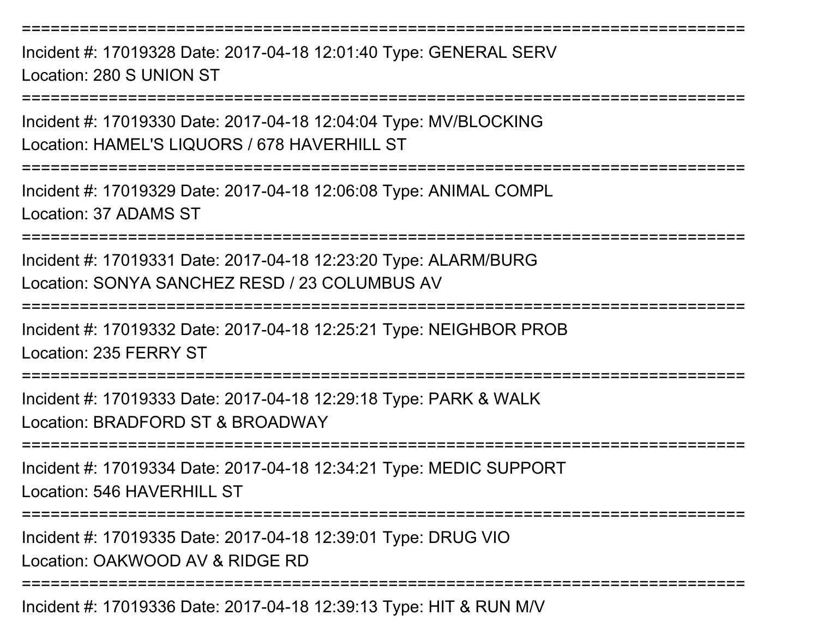Incident #: 17019328 Date: 2017-04-18 12:01:40 Type: GENERAL SERVLocation: 280 S UNION ST

===========================================================================

Incident #: 17019330 Date: 2017-04-18 12:04:04 Type: MV/BLOCKINGLocation: HAMEL'S LIQUORS / 678 HAVERHILL ST

===========================================================================

Incident #: 17019329 Date: 2017-04-18 12:06:08 Type: ANIMAL COMPLLocation: 37 ADAMS ST

===========================================================================

Incident #: 17019331 Date: 2017-04-18 12:23:20 Type: ALARM/BURGLocation: SONYA SANCHEZ RESD / 23 COLUMBUS AV

===========================================================================

Incident #: 17019332 Date: 2017-04-18 12:25:21 Type: NEIGHBOR PROBLocation: 235 FERRY ST

====================

Incident #: 17019333 Date: 2017-04-18 12:29:18 Type: PARK & WALKLocation: BRADFORD ST & BROADWAY

===========================================================================

Incident #: 17019334 Date: 2017-04-18 12:34:21 Type: MEDIC SUPPORTLocation: 546 HAVERHILL ST

===========================================================================

Incident #: 17019335 Date: 2017-04-18 12:39:01 Type: DRUG VIO

Location: OAKWOOD AV & RIDGE RD

===========================================================================

Incident #: 17019336 Date: 2017-04-18 12:39:13 Type: HIT & RUN M/V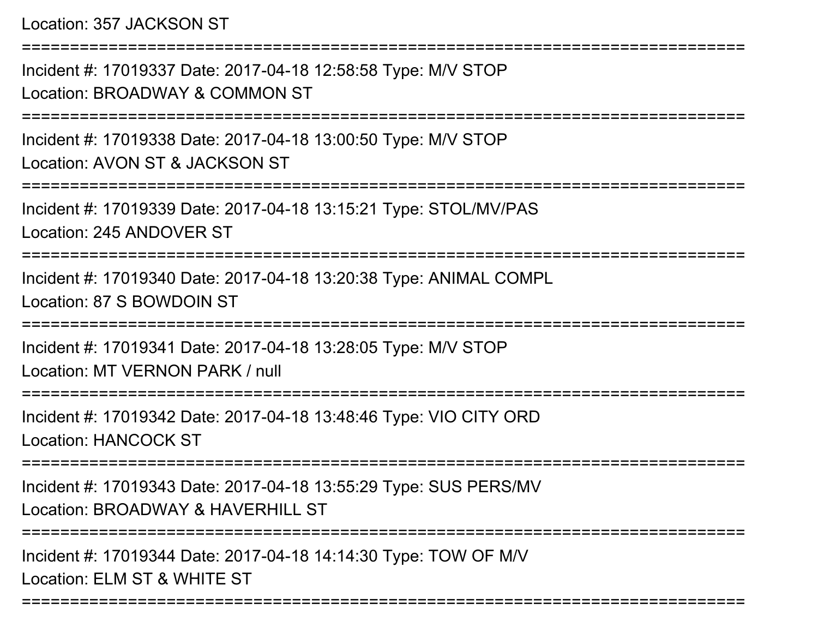Location: 357 JACKSON ST

===========================================================================Incident #: 17019337 Date: 2017-04-18 12:58:58 Type: M/V STOPLocation: BROADWAY & COMMON ST===========================================================================Incident #: 17019338 Date: 2017-04-18 13:00:50 Type: M/V STOPLocation: AVON ST & JACKSON ST===========================================================================Incident #: 17019339 Date: 2017-04-18 13:15:21 Type: STOL/MV/PASLocation: 245 ANDOVER ST===========================================================================Incident #: 17019340 Date: 2017-04-18 13:20:38 Type: ANIMAL COMPLLocation: 87 S BOWDOIN ST===========================================================================Incident #: 17019341 Date: 2017-04-18 13:28:05 Type: M/V STOPLocation: MT VERNON PARK / null===========================================================================Incident #: 17019342 Date: 2017-04-18 13:48:46 Type: VIO CITY ORDLocation: HANCOCK ST===========================================================================Incident #: 17019343 Date: 2017-04-18 13:55:29 Type: SUS PERS/MVLocation: BROADWAY & HAVERHILL ST ===========================================================================Incident #: 17019344 Date: 2017-04-18 14:14:30 Type: TOW OF M/VLocation: ELM ST & WHITE ST

===========================================================================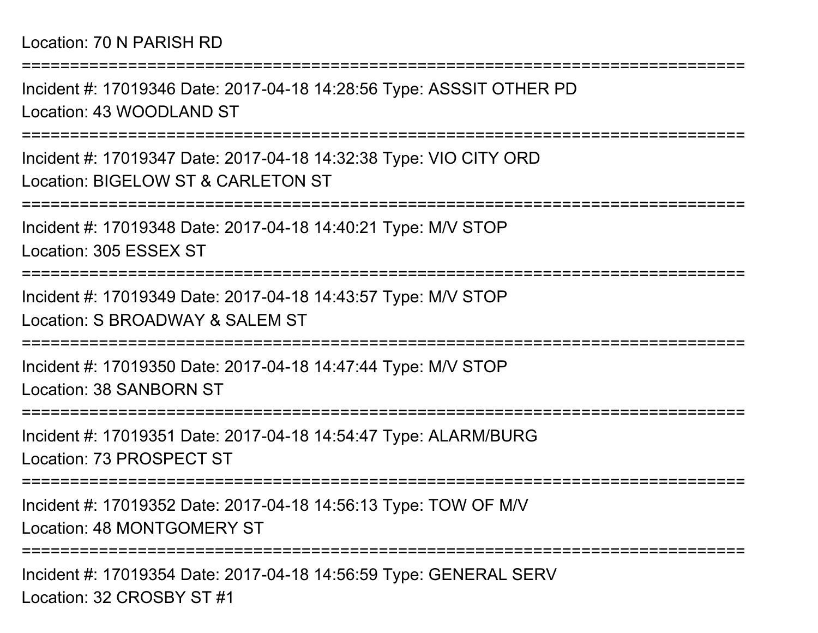===========================================================================Incident #: 17019346 Date: 2017-04-18 14:28:56 Type: ASSSIT OTHER PDLocation: 43 WOODLAND ST ===========================================================================Incident #: 17019347 Date: 2017-04-18 14:32:38 Type: VIO CITY ORDLocation: BIGELOW ST & CARLETON ST===========================================================================Incident #: 17019348 Date: 2017-04-18 14:40:21 Type: M/V STOPLocation: 305 ESSEX ST===========================================================================Incident #: 17019349 Date: 2017-04-18 14:43:57 Type: M/V STOPLocation: S BROADWAY & SALEM ST ===========================================================================Incident #: 17019350 Date: 2017-04-18 14:47:44 Type: M/V STOPLocation: 38 SANBORN ST===========================================================================Incident #: 17019351 Date: 2017-04-18 14:54:47 Type: ALARM/BURGLocation: 73 PROSPECT ST===========================================================================Incident #: 17019352 Date: 2017-04-18 14:56:13 Type: TOW OF M/VLocation: 48 MONTGOMERY ST===========================================================================Incident #: 17019354 Date: 2017-04-18 14:56:59 Type: GENERAL SERV

Location: 32 CROSBY ST #1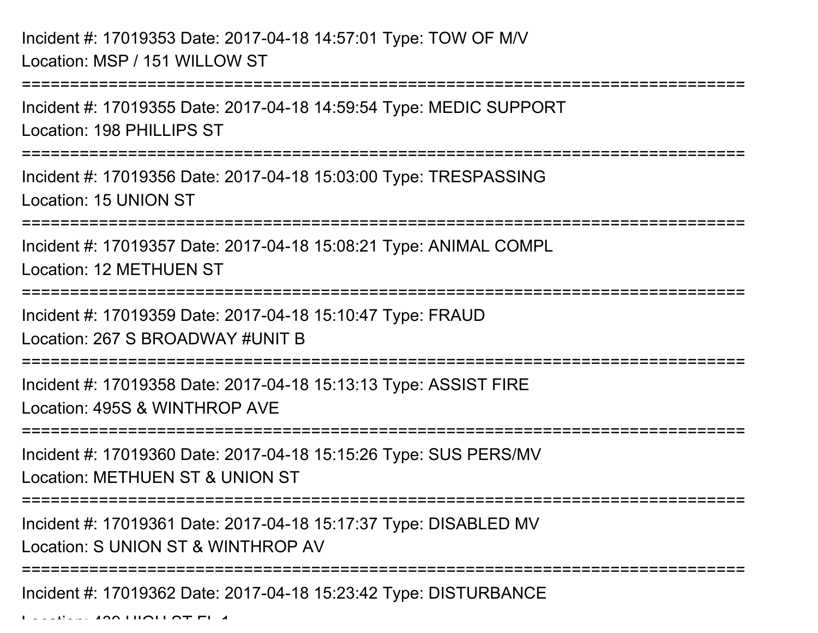Incident #: 17019353 Date: 2017-04-18 14:57:01 Type: TOW OF M/VLocation: MSP / 151 WILLOW ST

===========================================================================Incident #: 17019355 Date: 2017-04-18 14:59:54 Type: MEDIC SUPPORTLocation: 198 PHILLIPS ST===========================================================================Incident #: 17019356 Date: 2017-04-18 15:03:00 Type: TRESPASSINGLocation: 15 UNION ST===========================================================================Incident #: 17019357 Date: 2017-04-18 15:08:21 Type: ANIMAL COMPLLocation: 12 METHUEN ST===========================================================================Incident #: 17019359 Date: 2017-04-18 15:10:47 Type: FRAUDLocation: 267 S BROADWAY #UNIT B===========================================================================Incident #: 17019358 Date: 2017-04-18 15:13:13 Type: ASSIST FIRELocation: 495S & WINTHROP AVE===========================================================================Incident #: 17019360 Date: 2017-04-18 15:15:26 Type: SUS PERS/MVLocation: METHUEN ST & UNION ST===========================================================================Incident #: 17019361 Date: 2017-04-18 15:17:37 Type: DISABLED MVLocation: S UNION ST & WINTHROP AV===========================================================================Incident #: 17019362 Date: 2017-04-18 15:23:42 Type: DISTURBANCE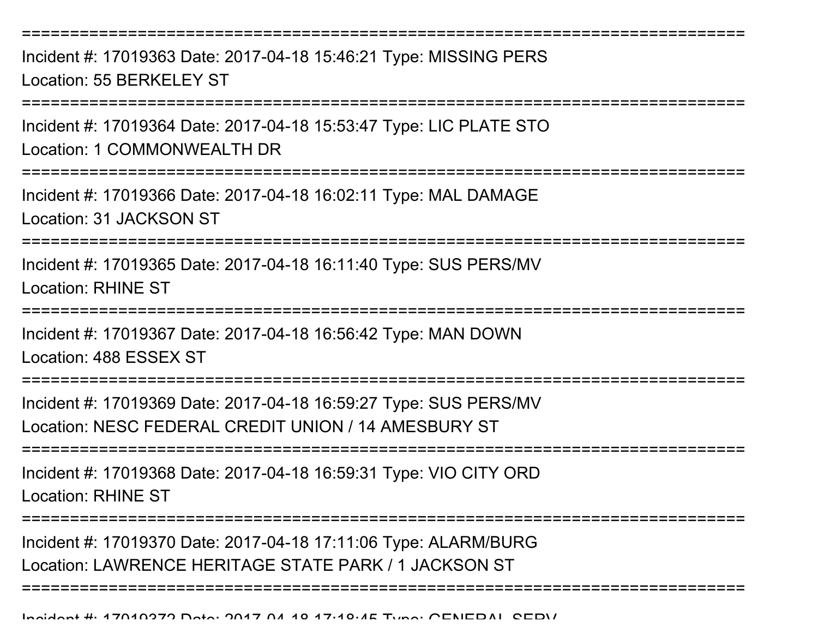Incident #: 17019363 Date: 2017-04-18 15:46:21 Type: MISSING PERSLocation: 55 BERKELEY ST

===========================================================================

Incident #: 17019364 Date: 2017-04-18 15:53:47 Type: LIC PLATE STO

Location: 1 COMMONWEALTH DR

===========================================================================

Incident #: 17019366 Date: 2017-04-18 16:02:11 Type: MAL DAMAGELocation: 31 JACKSON ST

===========================================================================

Incident #: 17019365 Date: 2017-04-18 16:11:40 Type: SUS PERS/MVLocation: RHINE ST

=========================

Incident #: 17019367 Date: 2017-04-18 16:56:42 Type: MAN DOWNLocation: 488 ESSEX ST

===========================================================================

Incident #: 17019369 Date: 2017-04-18 16:59:27 Type: SUS PERS/MVLocation: NESC FEDERAL CREDIT UNION / 14 AMESBURY ST

=================

Incident #: 17019368 Date: 2017-04-18 16:59:31 Type: VIO CITY ORDLocation: RHINE ST

===========================================================================

Incident #: 17019370 Date: 2017-04-18 17:11:06 Type: ALARM/BURGLocation: LAWRENCE HERITAGE STATE PARK / 1 JACKSON ST

===========================================================================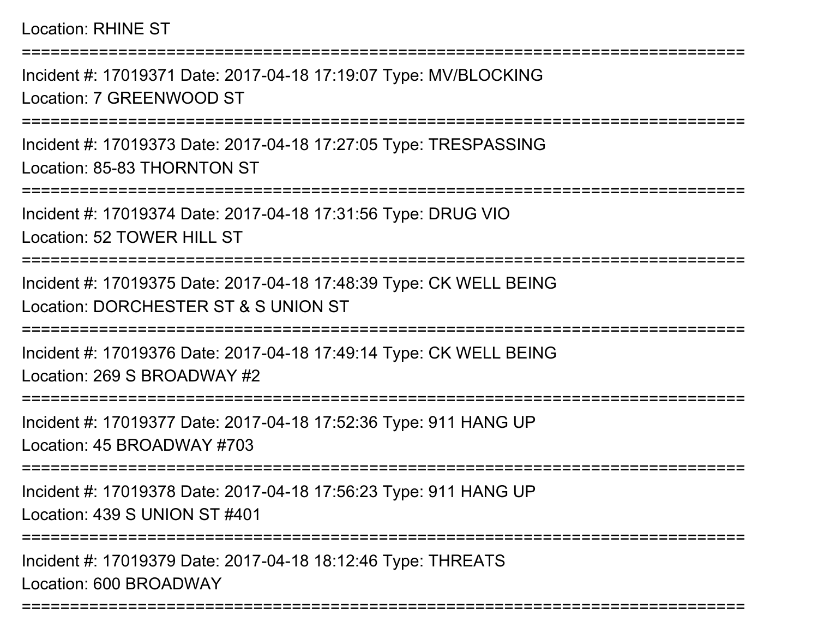## Location: RHINE ST

===========================================================================

Incident #: 17019371 Date: 2017-04-18 17:19:07 Type: MV/BLOCKINGLocation: 7 GREENWOOD ST

===========================================================================

Incident #: 17019373 Date: 2017-04-18 17:27:05 Type: TRESPASSINGLocation: 85-83 THORNTON ST

===========================================================================

Incident #: 17019374 Date: 2017-04-18 17:31:56 Type: DRUG VIOLocation: 52 TOWER HILL ST

===========================================================================

Incident #: 17019375 Date: 2017-04-18 17:48:39 Type: CK WELL BEINGLocation: DORCHESTER ST & S UNION ST

===========================================================================

Incident #: 17019376 Date: 2017-04-18 17:49:14 Type: CK WELL BEINGLocation: 269 S BROADWAY #2

===========================================================================

Incident #: 17019377 Date: 2017-04-18 17:52:36 Type: 911 HANG UPLocation: 45 BROADWAY #703

===========================================================================

Incident #: 17019378 Date: 2017-04-18 17:56:23 Type: 911 HANG UPLocation: 439 S UNION ST #401

===========================================================================

===========================================================================

Incident #: 17019379 Date: 2017-04-18 18:12:46 Type: THREATSLocation: 600 BROADWAY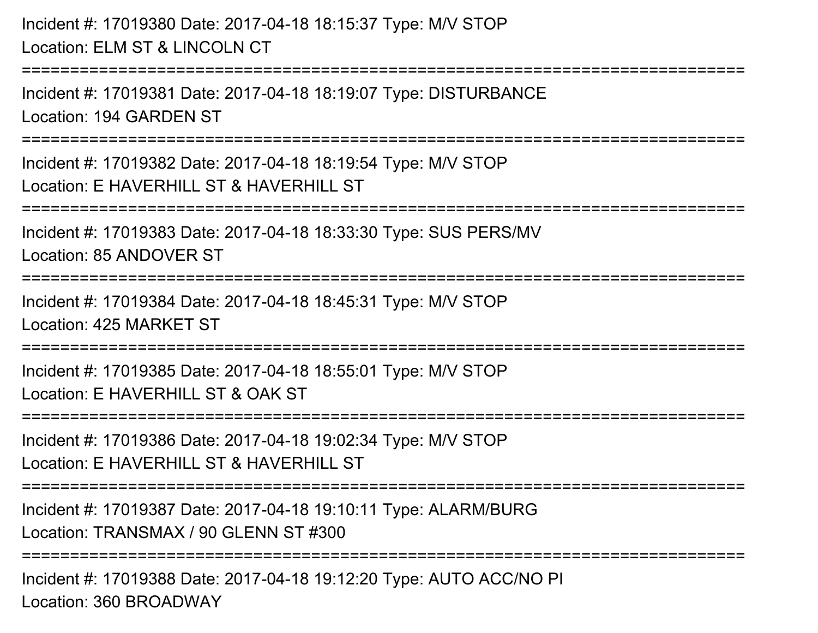Incident #: 17019380 Date: 2017-04-18 18:15:37 Type: M/V STOPLocation: ELM ST & LINCOLN CT===========================================================================Incident #: 17019381 Date: 2017-04-18 18:19:07 Type: DISTURBANCELocation: 194 GARDEN ST===========================================================================Incident #: 17019382 Date: 2017-04-18 18:19:54 Type: M/V STOPLocation: E HAVERHILL ST & HAVERHILL ST===========================================================================Incident #: 17019383 Date: 2017-04-18 18:33:30 Type: SUS PERS/MVLocation: 85 ANDOVER ST===========================================================================Incident #: 17019384 Date: 2017-04-18 18:45:31 Type: M/V STOPLocation: 425 MARKET ST===========================================================================Incident #: 17019385 Date: 2017-04-18 18:55:01 Type: M/V STOPLocation: E HAVERHILL ST & OAK ST ===========================================================================Incident #: 17019386 Date: 2017-04-18 19:02:34 Type: M/V STOPLocation: E HAVERHILL ST & HAVERHILL ST ===========================================================================Incident #: 17019387 Date: 2017-04-18 19:10:11 Type: ALARM/BURGLocation: TRANSMAX / 90 GLENN ST #300==================

Incident #: 17019388 Date: 2017-04-18 19:12:20 Type: AUTO ACC/NO PILocation: 360 BROADWAY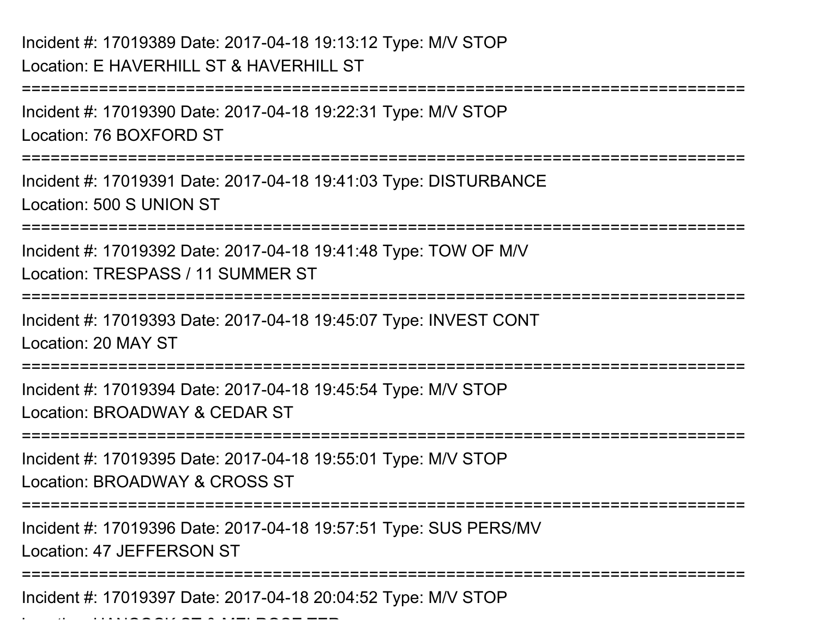Location: HANCOCK ST & MELROSE TERM PART TERM PART TERM PART TERM PART TERM PART TERM PART TERM PART TERM PART<br>Part of the contract of the contract of the contract of the contract of the contract of the contract of the con

===========================================================================Incident #: 17019390 Date: 2017-04-18 19:22:31 Type: M/V STOPLocation: 76 BOXFORD ST===========================================================================Incident #: 17019391 Date: 2017-04-18 19:41:03 Type: DISTURBANCELocation: 500 S UNION ST===========================================================================Incident #: 17019392 Date: 2017-04-18 19:41:48 Type: TOW OF M/VLocation: TRESPASS / 11 SUMMER ST===========================================================================Incident #: 17019393 Date: 2017-04-18 19:45:07 Type: INVEST CONTLocation: 20 MAY ST===========================================================================Incident #: 17019394 Date: 2017-04-18 19:45:54 Type: M/V STOPLocation: BROADWAY & CEDAR ST===========================================================================Incident #: 17019395 Date: 2017-04-18 19:55:01 Type: M/V STOPLocation: BROADWAY & CROSS ST===========================================================================Incident #: 17019396 Date: 2017-04-18 19:57:51 Type: SUS PERS/MVLocation: 47 JEFFERSON ST===========================================================================Incident #: 17019397 Date: 2017-04-18 20:04:52 Type: M/V STOP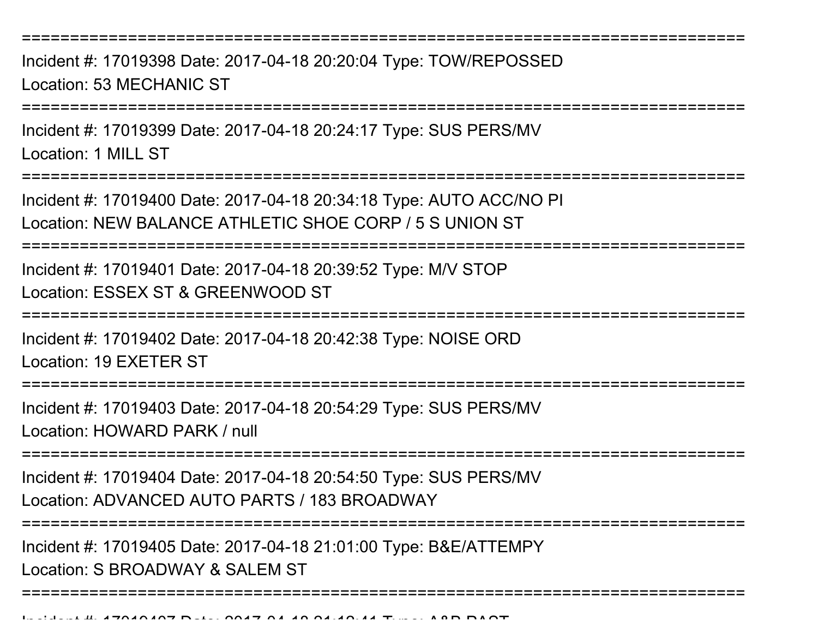Incident #: 17019398 Date: 2017-04-18 20:20:04 Type: TOW/REPOSSEDLocation: 53 MECHANIC ST

===========================================================================

Incident #: 17019399 Date: 2017-04-18 20:24:17 Type: SUS PERS/MVLocation: 1 MILL ST

===========================================================================

Incident #: 17019400 Date: 2017-04-18 20:34:18 Type: AUTO ACC/NO PILocation: NEW BALANCE ATHLETIC SHOE CORP / 5 S UNION ST

===========================================================================

Incident #: 17019401 Date: 2017-04-18 20:39:52 Type: M/V STOPLocation: ESSEX ST & GREENWOOD ST

===========================================================================

Incident #: 17019402 Date: 2017-04-18 20:42:38 Type: NOISE ORD

Location: 19 EXETER ST

===========================================================================

Incident #: 17019403 Date: 2017-04-18 20:54:29 Type: SUS PERS/MV

Location: HOWARD PARK / null

===========================================================================

Incident #: 17019404 Date: 2017-04-18 20:54:50 Type: SUS PERS/MVLocation: ADVANCED AUTO PARTS / 183 BROADWAY

===========================================================================

Incident #: 17019405 Date: 2017-04-18 21:01:00 Type: B&E/ATTEMPY

Location: S BROADWAY & SALEM ST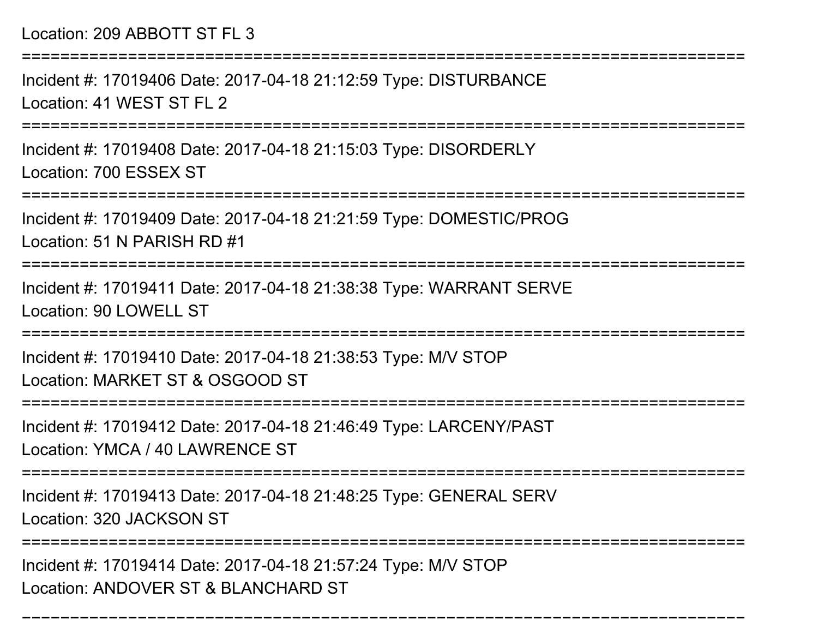Location: 209 ABBOTT ST FL 3

===========================================================================

Incident #: 17019406 Date: 2017-04-18 21:12:59 Type: DISTURBANCELocation: 41 WEST ST FL 2

===========================================================================

Incident #: 17019408 Date: 2017-04-18 21:15:03 Type: DISORDERLYLocation: 700 ESSEX ST

===========================================================================

Incident #: 17019409 Date: 2017-04-18 21:21:59 Type: DOMESTIC/PROGLocation: 51 N PARISH RD #1

===========================================================================

Incident #: 17019411 Date: 2017-04-18 21:38:38 Type: WARRANT SERVELocation: 90 LOWELL ST

===========================================================================

Incident #: 17019410 Date: 2017-04-18 21:38:53 Type: M/V STOPLocation: MARKET ST & OSGOOD ST

===========================================================================

Incident #: 17019412 Date: 2017-04-18 21:46:49 Type: LARCENY/PAST

Location: YMCA / 40 LAWRENCE ST

===========================================================================

Incident #: 17019413 Date: 2017-04-18 21:48:25 Type: GENERAL SERV

Location: 320 JACKSON ST

===========================================================================

===========================================================================

Incident #: 17019414 Date: 2017-04-18 21:57:24 Type: M/V STOPLocation: ANDOVER ST & BLANCHARD ST